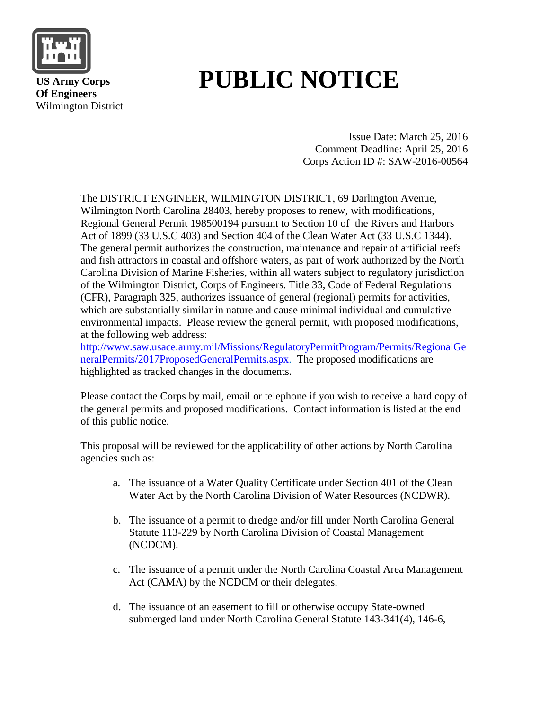

 **US Army Corps Of Engineers** Wilmington District

# **PUBLIC NOTICE**

Issue Date: March 25, 2016 Comment Deadline: April 25, 2016 Corps Action ID #: SAW-2016-00564

The DISTRICT ENGINEER, WILMINGTON DISTRICT, 69 Darlington Avenue, Wilmington North Carolina 28403, hereby proposes to renew, with modifications, Regional General Permit 198500194 pursuant to Section 10 of the Rivers and Harbors Act of 1899 (33 U.S.C 403) and Section 404 of the Clean Water Act (33 U.S.C 1344). The general permit authorizes the construction, maintenance and repair of artificial reefs and fish attractors in coastal and offshore waters, as part of work authorized by the North Carolina Division of Marine Fisheries, within all waters subject to regulatory jurisdiction of the Wilmington District, Corps of Engineers. Title 33, Code of Federal Regulations (CFR), Paragraph 325, authorizes issuance of general (regional) permits for activities, which are substantially similar in nature and cause minimal individual and cumulative environmental impacts. Please review the general permit, with proposed modifications, at the following web address:

[http://www.saw.usace.army.mil/Missions/RegulatoryPermitProgram/Permits/RegionalGe](http://www.saw.usace.army.mil/Missions/RegulatoryPermitProgram/Permits/RegionalGeneralPermits/2017ProposedGeneralPermits.aspx) [neralPermits/2017ProposedGeneralPermits.aspx.](http://www.saw.usace.army.mil/Missions/RegulatoryPermitProgram/Permits/RegionalGeneralPermits/2017ProposedGeneralPermits.aspx) The proposed modifications are highlighted as tracked changes in the documents.

Please contact the Corps by mail, email or telephone if you wish to receive a hard copy of the general permits and proposed modifications. Contact information is listed at the end of this public notice.

This proposal will be reviewed for the applicability of other actions by North Carolina agencies such as:

- a. The issuance of a Water Quality Certificate under Section 401 of the Clean Water Act by the North Carolina Division of Water Resources (NCDWR).
- b. The issuance of a permit to dredge and/or fill under North Carolina General Statute 113-229 by North Carolina Division of Coastal Management (NCDCM).
- c. The issuance of a permit under the North Carolina Coastal Area Management Act (CAMA) by the NCDCM or their delegates.
- d. The issuance of an easement to fill or otherwise occupy State-owned submerged land under North Carolina General Statute 143-341(4), 146-6,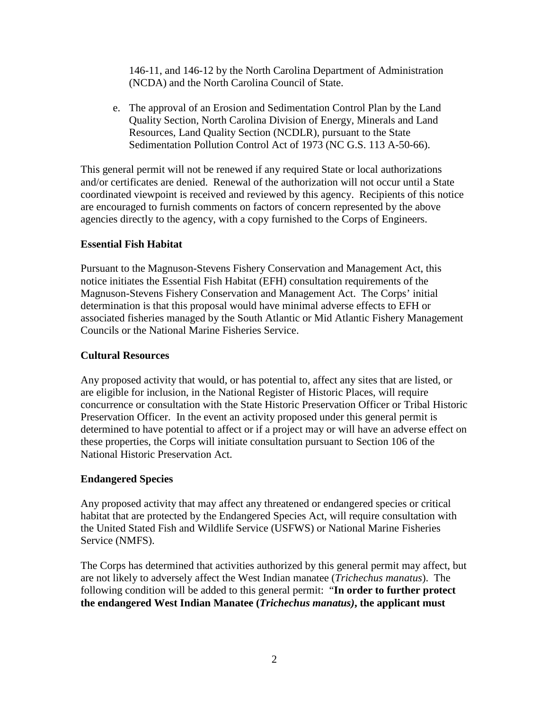146-11, and 146-12 by the North Carolina Department of Administration (NCDA) and the North Carolina Council of State.

e. The approval of an Erosion and Sedimentation Control Plan by the Land Quality Section, North Carolina Division of Energy, Minerals and Land Resources, Land Quality Section (NCDLR), pursuant to the State Sedimentation Pollution Control Act of 1973 (NC G.S. 113 A-50-66).

This general permit will not be renewed if any required State or local authorizations and/or certificates are denied. Renewal of the authorization will not occur until a State coordinated viewpoint is received and reviewed by this agency. Recipients of this notice are encouraged to furnish comments on factors of concern represented by the above agencies directly to the agency, with a copy furnished to the Corps of Engineers.

### **Essential Fish Habitat**

Pursuant to the Magnuson-Stevens Fishery Conservation and Management Act, this notice initiates the Essential Fish Habitat (EFH) consultation requirements of the Magnuson-Stevens Fishery Conservation and Management Act. The Corps' initial determination is that this proposal would have minimal adverse effects to EFH or associated fisheries managed by the South Atlantic or Mid Atlantic Fishery Management Councils or the National Marine Fisheries Service.

## **Cultural Resources**

Any proposed activity that would, or has potential to, affect any sites that are listed, or are eligible for inclusion, in the National Register of Historic Places, will require concurrence or consultation with the State Historic Preservation Officer or Tribal Historic Preservation Officer. In the event an activity proposed under this general permit is determined to have potential to affect or if a project may or will have an adverse effect on these properties, the Corps will initiate consultation pursuant to Section 106 of the National Historic Preservation Act.

#### **Endangered Species**

Any proposed activity that may affect any threatened or endangered species or critical habitat that are protected by the Endangered Species Act, will require consultation with the United Stated Fish and Wildlife Service (USFWS) or National Marine Fisheries Service (NMFS).

The Corps has determined that activities authorized by this general permit may affect, but are not likely to adversely affect the West Indian manatee (*Trichechus manatus*). The following condition will be added to this general permit: "**In order to further protect the endangered West Indian Manatee (***Trichechus manatus)***, the applicant must**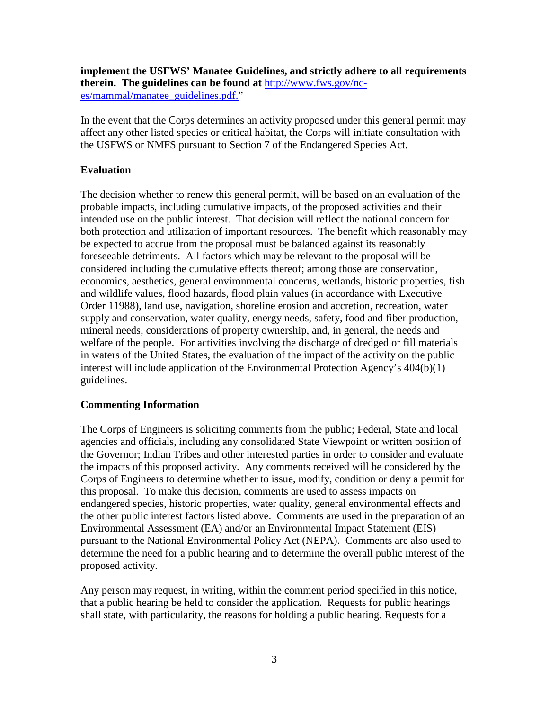**implement the USFWS' Manatee Guidelines, and strictly adhere to all requirements therein. The guidelines can be found at** [http://www.fws.gov/nc](http://www.fws.gov/nc-es/mammal/manatee_guidelines.pdf)[es/mammal/manatee\\_guidelines.pdf.](http://www.fws.gov/nc-es/mammal/manatee_guidelines.pdf)"

In the event that the Corps determines an activity proposed under this general permit may affect any other listed species or critical habitat, the Corps will initiate consultation with the USFWS or NMFS pursuant to Section 7 of the Endangered Species Act.

# **Evaluation**

The decision whether to renew this general permit, will be based on an evaluation of the probable impacts, including cumulative impacts, of the proposed activities and their intended use on the public interest. That decision will reflect the national concern for both protection and utilization of important resources. The benefit which reasonably may be expected to accrue from the proposal must be balanced against its reasonably foreseeable detriments. All factors which may be relevant to the proposal will be considered including the cumulative effects thereof; among those are conservation, economics, aesthetics, general environmental concerns, wetlands, historic properties, fish and wildlife values, flood hazards, flood plain values (in accordance with Executive Order 11988), land use, navigation, shoreline erosion and accretion, recreation, water supply and conservation, water quality, energy needs, safety, food and fiber production, mineral needs, considerations of property ownership, and, in general, the needs and welfare of the people. For activities involving the discharge of dredged or fill materials in waters of the United States, the evaluation of the impact of the activity on the public interest will include application of the Environmental Protection Agency's 404(b)(1) guidelines.

## **Commenting Information**

The Corps of Engineers is soliciting comments from the public; Federal, State and local agencies and officials, including any consolidated State Viewpoint or written position of the Governor; Indian Tribes and other interested parties in order to consider and evaluate the impacts of this proposed activity. Any comments received will be considered by the Corps of Engineers to determine whether to issue, modify, condition or deny a permit for this proposal. To make this decision, comments are used to assess impacts on endangered species, historic properties, water quality, general environmental effects and the other public interest factors listed above. Comments are used in the preparation of an Environmental Assessment (EA) and/or an Environmental Impact Statement (EIS) pursuant to the National Environmental Policy Act (NEPA). Comments are also used to determine the need for a public hearing and to determine the overall public interest of the proposed activity.

Any person may request, in writing, within the comment period specified in this notice, that a public hearing be held to consider the application. Requests for public hearings shall state, with particularity, the reasons for holding a public hearing. Requests for a